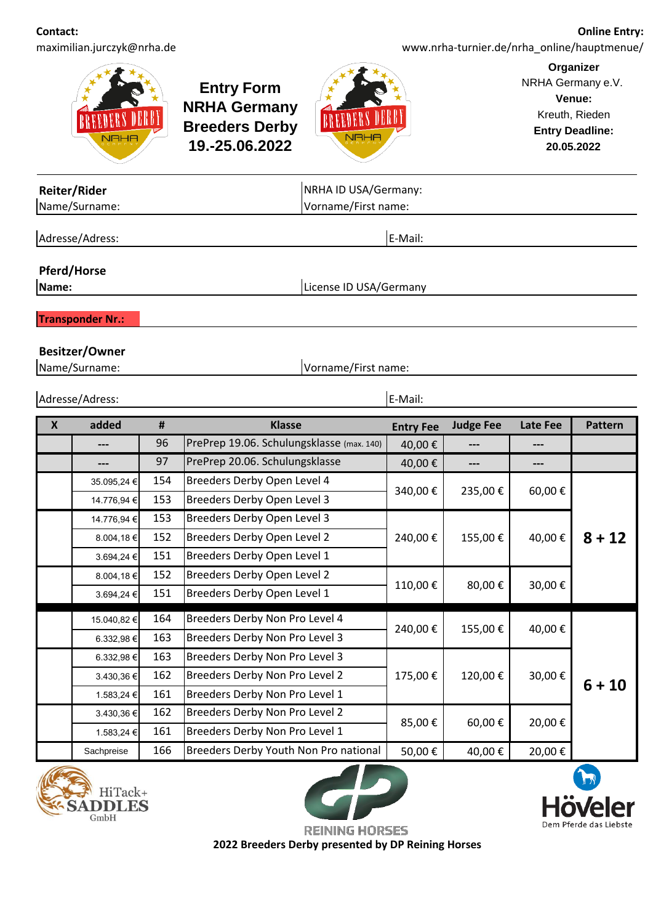**Contact:** maximilian.jurczyk@nrha.de

**Online Entry:**  www.nrha-turnier.de/nrha\_online/hauptmenue/



**Entry Form NRHA Germany Breeders Derby 19.-25.06.2022**



**Organizer** NRHA Germany e.V. **Venue:** Kreuth, Rieden **Entry Deadline: 20.05.2022**

| Reiter/Rider<br>Name/Surname: |                                        |     |                                           | NRHA ID USA/Germany:<br>Vorname/First name: |                  |          |                |
|-------------------------------|----------------------------------------|-----|-------------------------------------------|---------------------------------------------|------------------|----------|----------------|
|                               | Adresse/Adress:                        |     |                                           | E-Mail:                                     |                  |          |                |
| Name:                         | <b>Pferd/Horse</b>                     |     | License ID USA/Germany                    |                                             |                  |          |                |
|                               | <b>Transponder Nr.:</b>                |     |                                           |                                             |                  |          |                |
|                               | <b>Besitzer/Owner</b><br>Name/Surname: |     | Vorname/First name:                       |                                             |                  |          |                |
|                               | E-Mail:<br>Adresse/Adress:             |     |                                           |                                             |                  |          |                |
| $\boldsymbol{\mathsf{X}}$     | added                                  | #   | <b>Klasse</b>                             | <b>Entry Fee</b>                            | <b>Judge Fee</b> | Late Fee | <b>Pattern</b> |
|                               | ---                                    | 96  | PrePrep 19.06. Schulungsklasse (max. 140) | 40,00€                                      | $---$            | ---      |                |
|                               | ---                                    | 97  | PrePrep 20.06. Schulungsklasse            | 40,00€                                      | $---$            | ---      |                |
|                               | 35.095,24 €                            | 154 | Breeders Derby Open Level 4               | 340,00€                                     | 235,00€          | 60,00€   |                |
|                               | 14.776,94 €                            | 153 | Breeders Derby Open Level 3               |                                             |                  |          |                |
|                               | 14.776,94 €                            | 153 | Breeders Derby Open Level 3               |                                             |                  |          |                |
|                               | 8.004,18€                              | 152 | Breeders Derby Open Level 2               | 240,00€                                     | 155,00€          | 40,00€   | $8 + 12$       |
|                               |                                        |     |                                           |                                             |                  |          |                |
|                               | 3.694,24 €                             | 151 | Breeders Derby Open Level 1               |                                             |                  |          |                |
|                               | 8.004,18€                              | 152 | Breeders Derby Open Level 2               | 110,00€                                     | 80,00€           | 30,00€   |                |



15.040,82 € 164 6.332,98 € 163  $6.332.98 \in$  163 3.430,36 € 162 1.583,24 € 161 3.430,36 € 162 1.583,24 € 161



Breeders Derby Non Pro Level 1

Breeders Derby Non Pro Level 2

Breeders Derby Non Pro Level 1

Breeders Derby Non Pro Level 2

Breeders Derby Non Pro Level 3

Breeders Derby Non Pro Level 3

Breeders Derby Non Pro Level 4



**6 + 10**

85,00 € | 60,00 € 20,00 €

175,00 € | 120,00 € | 30,00 €

 $240,00 \in$  155,00 € 40,00 €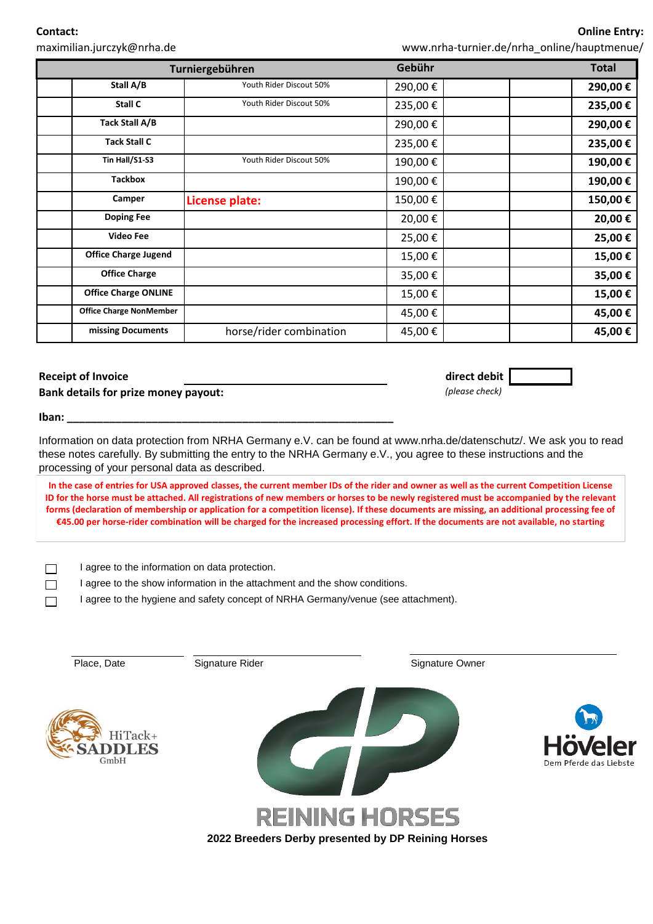**Contact:**

maximilian.jurczyk@nrha.de

www.nrha-turnier.de/nrha\_online/hauptmenue/

| Turniergebühren |                                | Gebühr                  | <b>Total</b> |         |
|-----------------|--------------------------------|-------------------------|--------------|---------|
|                 | Stall A/B                      | Youth Rider Discout 50% | 290,00€      | 290,00€ |
|                 | Stall C                        | Youth Rider Discout 50% | 235,00€      | 235,00€ |
|                 | Tack Stall A/B                 |                         | 290,00€      | 290,00€ |
|                 | <b>Tack Stall C</b>            |                         | 235,00€      | 235,00€ |
|                 | Tin Hall/S1-S3                 | Youth Rider Discout 50% | 190,00€      | 190,00€ |
|                 | <b>Tackbox</b>                 |                         | 190,00€      | 190,00€ |
|                 | Camper                         | License plate:          | 150,00€      | 150,00€ |
|                 | <b>Doping Fee</b>              |                         | 20,00€       | 20,00€  |
|                 | <b>Video Fee</b>               |                         | 25,00€       | 25,00€  |
|                 | <b>Office Charge Jugend</b>    |                         | 15,00€       | 15,00€  |
|                 | <b>Office Charge</b>           |                         | 35,00€       | 35,00€  |
|                 | <b>Office Charge ONLINE</b>    |                         | 15,00€       | 15,00€  |
|                 | <b>Office Charge NonMember</b> |                         | 45,00€       | 45,00€  |
|                 | missing Documents              | horse/rider combination | 45,00€       | 45,00€  |

## **Receipt of Invoice direct debit**

**Bank details for prize money payout:** *(please check)*

**Iban: \_\_\_\_\_\_\_\_\_\_\_\_\_\_\_\_\_\_\_\_\_\_\_\_\_\_\_\_\_\_\_\_\_\_\_\_\_\_\_\_\_\_\_\_\_\_\_\_\_\_\_\_\_\_**

Information on data protection from NRHA Germany e.V. can be found at www.nrha.de/datenschutz/. We ask you to read these notes carefully. By submitting the entry to the NRHA Germany e.V., you agree to these instructions and the processing of your personal data as described.

**In the case of entries for USA approved classes, the current member IDs of the rider and owner as well as the current Competition License ID for the horse must be attached. All registrations of new members or horses to be newly registered must be accompanied by the relevant forms (declaration of membership or application for a competition license). If these documents are missing, an additional processing fee of €45.00 per horse-rider combination will be charged for the increased processing effort. If the documents are not available, no starting** 

 $\Box$  I agree to the information on data protection.

□ I agree to the show information in the attachment and the show conditions.

I agree to the hygiene and safety concept of NRHA Germany/venue (see attachment).

| Place, Date                    | Signature Rider                                    | Signature Owner |                                               |
|--------------------------------|----------------------------------------------------|-----------------|-----------------------------------------------|
| HiTack+<br><b>DLES</b><br>GmbH |                                                    |                 | B<br><b>Höveler</b><br>Dem Pferde das Liebste |
|                                | <b>REINING HORSES</b>                              |                 |                                               |
|                                | 2022 Breeders Derby presented by DP Reining Horses |                 |                                               |